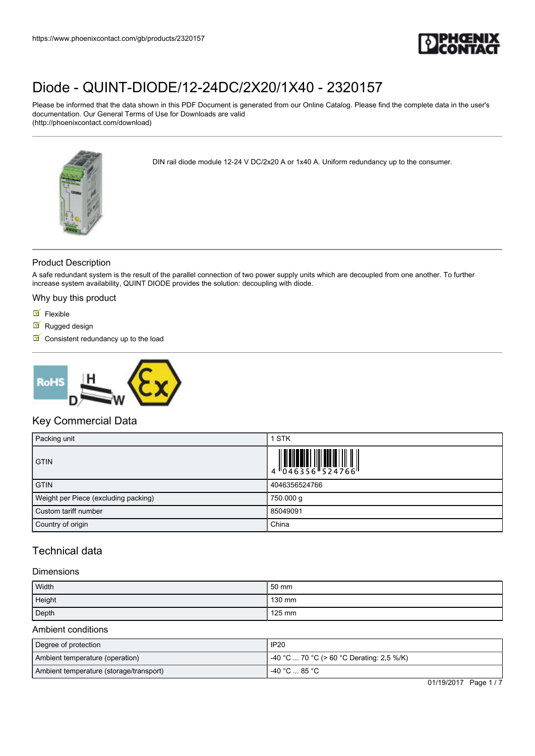

Please be informed that the data shown in this PDF Document is generated from our Online Catalog. Please find the complete data in the user's documentation. Our General Terms of Use for Downloads are valid (http://phoenixcontact.com/download)

DIN rail diode module 12-24 V DC/2x20 A or 1x40 A. Uniform redundancy up to the consumer.

Product Description

A safe redundant system is the result of the parallel connection of two power supply units which are decoupled from one another. To further increase system availability, QUINT DIODE provides the solution: decoupling with diode.

Why buy this product

- $\blacksquare$  Flexible
- Rugged design
- $\blacksquare$  Consistent redundancy up to the load



### Key Commercial Data

| Packing unit                         | <b>STK</b>                                                                                                                                                                                                                                                                                                               |
|--------------------------------------|--------------------------------------------------------------------------------------------------------------------------------------------------------------------------------------------------------------------------------------------------------------------------------------------------------------------------|
| <b>GTIN</b>                          | $\begin{array}{c} 1 & 0 & 0 & 0 \\ 0 & 4 & 6 & 3 & 5 & 6 \\ 0 & 4 & 6 & 3 & 5 & 6 \\ 0 & 0 & 0 & 0 & 5 & 2 & 4 & 7 & 6 \\ 0 & 0 & 0 & 0 & 0 & 0 & 0 \\ 0 & 0 & 0 & 0 & 0 & 0 & 0 \\ 0 & 0 & 0 & 0 & 0 & 0 & 0 \\ 0 & 0 & 0 & 0 & 0 & 0 & 0 \\ 0 & 0 & 0 & 0 & 0 & 0 & 0 \\ 0 & 0 & 0 & 0 & 0 & 0 & 0 \\ 0 & 0 & 0 & 0 &$ |
| <b>GTIN</b>                          | 4046356524766                                                                                                                                                                                                                                                                                                            |
| Weight per Piece (excluding packing) | 750.000 g                                                                                                                                                                                                                                                                                                                |
| Custom tariff number                 | 85049091                                                                                                                                                                                                                                                                                                                 |
| Country of origin                    | China                                                                                                                                                                                                                                                                                                                    |

## Technical data

#### **Dimensions**

| Width  | 50 mm  |
|--------|--------|
| Height | 130 mm |
| Depth  | 125 mm |

#### Ambient conditions

| Degree of protection                    | <b>IP20</b>                               |
|-----------------------------------------|-------------------------------------------|
| Ambient temperature (operation)         | -40 °C  70 °C (> 60 °C Derating: 2,5 %/K) |
| Ambient temperature (storage/transport) | ∣ -40 °C  85 °C .                         |

01/19/2017 Page 1 / 7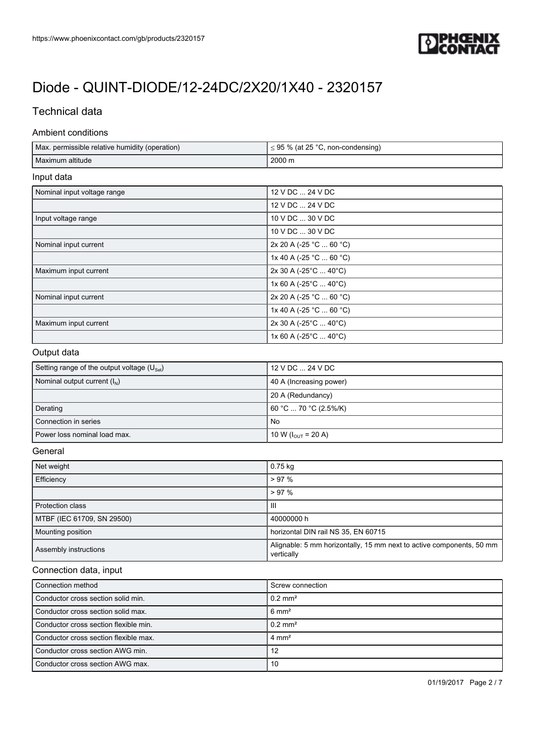

## Technical data

#### Ambient conditions

r

| $\leq$ 95 % (at 25 °C, non-condensing)      |
|---------------------------------------------|
| 2000 m                                      |
|                                             |
| 12 V DC  24 V DC                            |
| 12 V DC  24 V DC                            |
| 10 V DC  30 V DC                            |
| 10 V DC  30 V DC                            |
| 2x 20 A (-25 °C $\ldots$ 60 °C)             |
| 1x 40 A (-25 °C  60 °C)                     |
| $2x 30 A (-25^{\circ}C  40^{\circ}C)$       |
| 1x 60 A (-25 $^{\circ}$ C  40 $^{\circ}$ C) |
| 2x 20 A (-25 °C  60 °C)                     |
| 1x 40 A (-25 °C  60 °C)                     |
| 2x 30 A (-25°C  40°C)                       |
| 1x 60 A (-25 $^{\circ}$ C  40 $^{\circ}$ C) |
|                                             |

### Output data

| Setting range of the output voltage $(U_{\text{Set}})$ | 12 V DC  24 V DC                |
|--------------------------------------------------------|---------------------------------|
| Nominal output current $(I_N)$                         | 40 A (Increasing power)         |
|                                                        | 20 A (Redundancy)               |
| Derating                                               | 60 °C  70 °C (2.5%/K)           |
| Connection in series                                   | No                              |
| Power loss nominal load max.                           | 10 W ( $I_{\text{OUT}}$ = 20 A) |

### **General**

| Net weight                 | $0.75$ kg                                                                          |
|----------------------------|------------------------------------------------------------------------------------|
|                            |                                                                                    |
| Efficiency                 | $> 97\%$                                                                           |
|                            | $> 97\%$                                                                           |
| <b>Protection class</b>    | Ш                                                                                  |
| MTBF (IEC 61709, SN 29500) | 40000000 h                                                                         |
| Mounting position          | horizontal DIN rail NS 35, EN 60715                                                |
| Assembly instructions      | Alignable: 5 mm horizontally, 15 mm next to active components, 50 mm<br>vertically |

#### Connection data, input

| Connection method                     | Screw connection      |
|---------------------------------------|-----------------------|
| Conductor cross section solid min.    | $0.2 \text{ mm}^2$    |
| Conductor cross section solid max.    | $6 \text{ mm}^2$      |
| Conductor cross section flexible min. | $0.2$ mm <sup>2</sup> |
| Conductor cross section flexible max. | $4 \text{ mm}^2$      |
| Conductor cross section AWG min.      | 12                    |
| Conductor cross section AWG max.      | 10                    |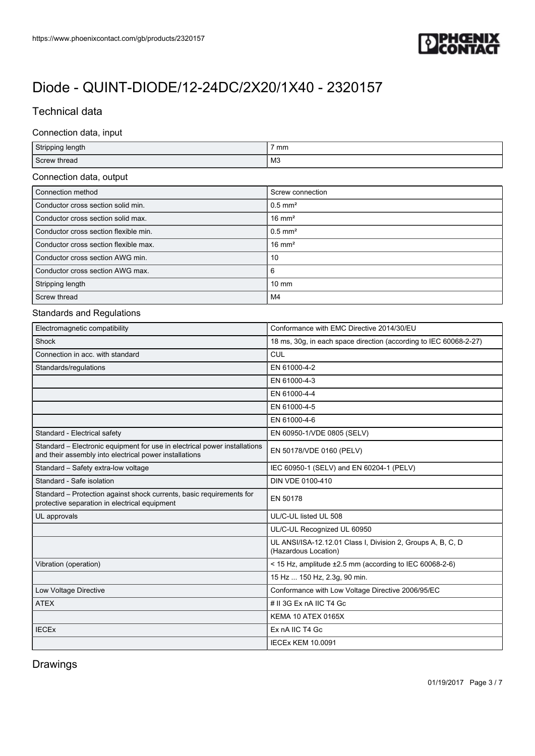

## Technical data

### Connection data, input

| Stripping length                      | 7 mm                  |  |
|---------------------------------------|-----------------------|--|
| Screw thread                          | M <sub>3</sub>        |  |
| Connection data, output               |                       |  |
| Connection method                     | Screw connection      |  |
| Conductor cross section solid min.    | $0.5$ mm <sup>2</sup> |  |
| Conductor cross section solid max.    | $16 \text{ mm}^2$     |  |
| Conductor cross section flexible min. | $0.5$ mm <sup>2</sup> |  |
| Conductor cross section flexible max. | $16 \text{ mm}^2$     |  |
| Conductor cross section AWG min.      | 10                    |  |
| Conductor cross section AWG max.      | 6                     |  |
| Stripping length                      | $10 \text{ mm}$       |  |
| Screw thread                          | M4                    |  |

#### Standards and Regulations

| Electromagnetic compatibility                                                                                                       | Conformance with EMC Directive 2014/30/EU                                           |
|-------------------------------------------------------------------------------------------------------------------------------------|-------------------------------------------------------------------------------------|
| Shock                                                                                                                               | 18 ms, 30g, in each space direction (according to IEC 60068-2-27)                   |
| Connection in acc. with standard                                                                                                    | CUL                                                                                 |
| Standards/regulations                                                                                                               | EN 61000-4-2                                                                        |
|                                                                                                                                     | EN 61000-4-3                                                                        |
|                                                                                                                                     | EN 61000-4-4                                                                        |
|                                                                                                                                     | EN 61000-4-5                                                                        |
|                                                                                                                                     | EN 61000-4-6                                                                        |
| Standard - Electrical safety                                                                                                        | EN 60950-1/VDE 0805 (SELV)                                                          |
| Standard – Electronic equipment for use in electrical power installations<br>and their assembly into electrical power installations | EN 50178/VDE 0160 (PELV)                                                            |
| Standard - Safety extra-low voltage                                                                                                 | IEC 60950-1 (SELV) and EN 60204-1 (PELV)                                            |
| Standard - Safe isolation                                                                                                           | DIN VDE 0100-410                                                                    |
| Standard – Protection against shock currents, basic requirements for<br>protective separation in electrical equipment               | EN 50178                                                                            |
| UL approvals                                                                                                                        | UL/C-UL listed UL 508                                                               |
|                                                                                                                                     | UL/C-UL Recognized UL 60950                                                         |
|                                                                                                                                     | UL ANSI/ISA-12.12.01 Class I, Division 2, Groups A, B, C, D<br>(Hazardous Location) |
| Vibration (operation)                                                                                                               | < 15 Hz, amplitude $\pm 2.5$ mm (according to IEC 60068-2-6)                        |
|                                                                                                                                     | 15 Hz  150 Hz, 2.3g, 90 min.                                                        |
| Low Voltage Directive                                                                                                               | Conformance with Low Voltage Directive 2006/95/EC                                   |
| <b>ATEX</b>                                                                                                                         | # II 3G Ex nA IIC T4 Gc                                                             |
|                                                                                                                                     | KEMA 10 ATEX 0165X                                                                  |
| <b>IECEx</b>                                                                                                                        | Ex nA IIC T4 Gc                                                                     |
|                                                                                                                                     | <b>IECEx KEM 10.0091</b>                                                            |

## Drawings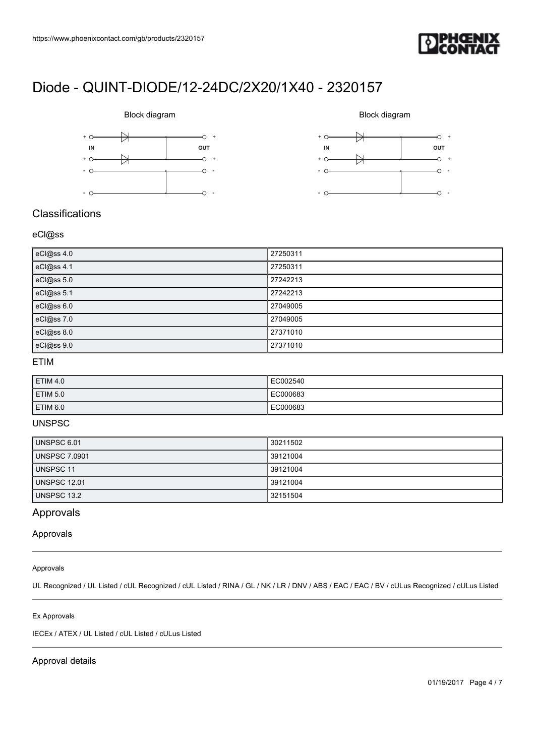





## **Classifications**

### eCl@ss

| eCl@ss 4.0 | 27250311 |
|------------|----------|
| eCl@ss 4.1 | 27250311 |
| eCl@ss 5.0 | 27242213 |
| eCl@ss 5.1 | 27242213 |
| eCl@ss 6.0 | 27049005 |
| eCl@ss 7.0 | 27049005 |
| eCl@ss 8.0 | 27371010 |
| eCl@ss 9.0 | 27371010 |

## ETIM

| ETIM 4.0            | EC002540 |
|---------------------|----------|
| ETIM <sub>5.0</sub> | EC000683 |
| ETIM 6.0            | EC000683 |

#### UNSPSC

| UNSPSC 6.01   | 30211502 |
|---------------|----------|
| UNSPSC 7.0901 | 39121004 |
| UNSPSC 11     | 39121004 |
| UNSPSC 12.01  | 39121004 |
| UNSPSC 13.2   | 32151504 |

## Approvals

#### Approvals

### Approvals

UL Recognized / UL Listed / cUL Recognized / cUL Listed / RINA / GL / NK / LR / DNV / ABS / EAC / EAC / BV / cULus Recognized / cULus Listed

#### Ex Approvals

IECEx / ATEX / UL Listed / cUL Listed / cULus Listed

#### Approval details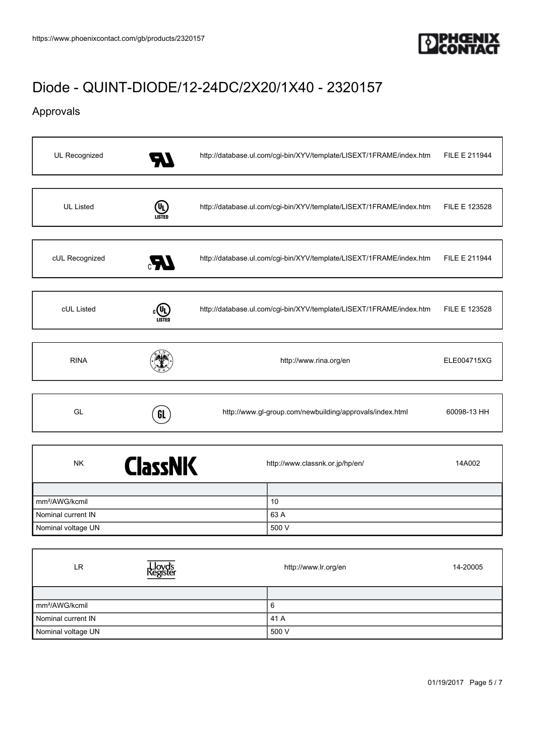

## Approvals

| UL Recognized    | 7.V | http://database.ul.com/cgi-bin/XYV/template/LISEXT/1FRAME/index.htm | FILE E 211944 |
|------------------|-----|---------------------------------------------------------------------|---------------|
|                  |     |                                                                     |               |
| <b>UL Listed</b> | UI) | http://database.ul.com/cgi-bin/XYV/template/LISEXT/1FRAME/index.htm | FILE E 123528 |
|                  |     |                                                                     |               |
| cUL Recognized   | UP. | http://database.ul.com/cgi-bin/XYV/template/LISEXT/1FRAME/index.htm | FILE E 211944 |
|                  |     |                                                                     |               |
| cUL Listed       |     | http://database.ul.com/cgi-bin/XYV/template/LISEXT/1FRAME/index.htm | FILE E 123528 |
|                  |     |                                                                     |               |
| <b>RINA</b>      |     | http://www.rina.org/en                                              | ELE004715XG   |
|                  |     |                                                                     |               |
| GL               | GL  | http://www.gl-group.com/newbuilding/approvals/index.html            | 60098-13 HH   |
|                  |     |                                                                     |               |
|                  |     |                                                                     |               |

| <b>ClassNK</b><br><b>NK</b> | http://www.classnk.or.jp/hp/en/<br>14A002 |
|-----------------------------|-------------------------------------------|
|                             |                                           |
| mm <sup>2</sup> /AWG/kcmil  | 10                                        |
| Nominal current IN          | 63 A                                      |
| Nominal voltage UN          | 500 V                                     |

| LR                         | Lloyd's<br>Register | http://www.lr.org/en | 14-20005 |
|----------------------------|---------------------|----------------------|----------|
|                            |                     |                      |          |
| mm <sup>2</sup> /AWG/kcmil |                     | 6                    |          |
| Nominal current IN         |                     | 41 A                 |          |
| Nominal voltage UN         |                     | 500 V                |          |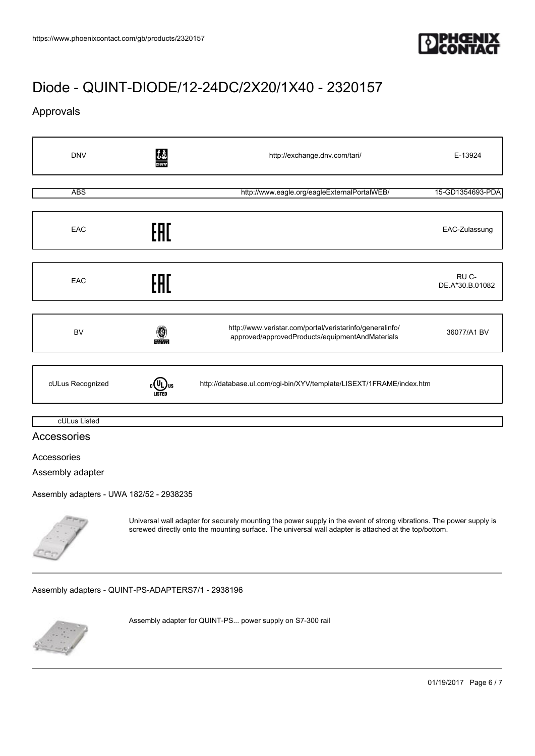

## Approvals

| <b>DNV</b>                                                                  | ĴÅ                 | http://exchange.dnv.com/tari/                                                                               | E-13924                  |
|-----------------------------------------------------------------------------|--------------------|-------------------------------------------------------------------------------------------------------------|--------------------------|
| <b>ABS</b>                                                                  |                    | http://www.eagle.org/eagleExternalPortalWEB/                                                                | 15-GD1354693-PDA         |
| EAC                                                                         | EAL                |                                                                                                             | EAC-Zulassung            |
| EAC                                                                         | EAC                |                                                                                                             | RU C-<br>DE.A*30.B.01082 |
| <b>BV</b>                                                                   | 0<br><b>BUREAU</b> | http://www.veristar.com/portal/veristarinfo/generalinfo/<br>approved/approvedProducts/equipmentAndMaterials | 36077/A1 BV              |
| cULus Recognized                                                            |                    | http://database.ul.com/cgi-bin/XYV/template/LISEXT/1FRAME/index.htm                                         |                          |
| cULus Listed<br>Accessories                                                 |                    |                                                                                                             |                          |
| Accessories<br>Assembly adapter<br>Assembly adapters - UWA 182/52 - 2938235 |                    |                                                                                                             |                          |



Universal wall adapter for securely mounting the power supply in the event of strong vibrations. The power supply is screwed directly onto the mounting surface. The universal wall adapter is attached at the top/bottom.

[Assembly adapters - QUINT-PS-ADAPTERS7/1 - 2938196](https://www.phoenixcontact.com/gb/products/2938196)



Assembly adapter for QUINT-PS... power supply on S7-300 rail